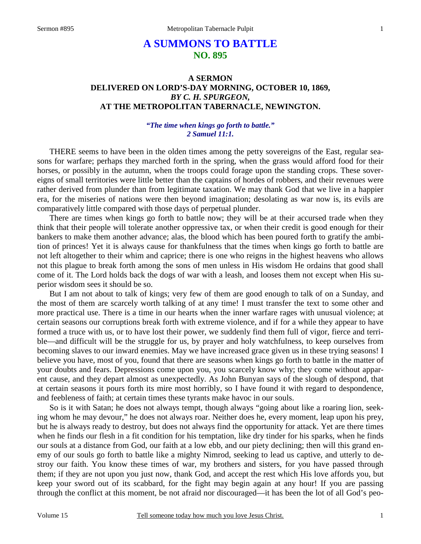# **A SUMMONS TO BATTLE NO. 895**

# **A SERMON DELIVERED ON LORD'S-DAY MORNING, OCTOBER 10, 1869,**  *BY C. H. SPURGEON,*  **AT THE METROPOLITAN TABERNACLE, NEWINGTON.**

## *"The time when kings go forth to battle." 2 Samuel 11:1.*

THERE seems to have been in the olden times among the petty sovereigns of the East, regular seasons for warfare; perhaps they marched forth in the spring, when the grass would afford food for their horses, or possibly in the autumn, when the troops could forage upon the standing crops. These sovereigns of small territories were little better than the captains of hordes of robbers, and their revenues were rather derived from plunder than from legitimate taxation. We may thank God that we live in a happier era, for the miseries of nations were then beyond imagination; desolating as war now is, its evils are comparatively little compared with those days of perpetual plunder.

 There are times when kings go forth to battle now; they will be at their accursed trade when they think that their people will tolerate another oppressive tax, or when their credit is good enough for their bankers to make them another advance; alas, the blood which has been poured forth to gratify the ambition of princes! Yet it is always cause for thankfulness that the times when kings go forth to battle are not left altogether to their whim and caprice; there is one who reigns in the highest heavens who allows not this plague to break forth among the sons of men unless in His wisdom He ordains that good shall come of it. The Lord holds back the dogs of war with a leash, and looses them not except when His superior wisdom sees it should be so.

 But I am not about to talk of kings; very few of them are good enough to talk of on a Sunday, and the most of them are scarcely worth talking of at any time! I must transfer the text to some other and more practical use. There is a time in our hearts when the inner warfare rages with unusual violence; at certain seasons our corruptions break forth with extreme violence, and if for a while they appear to have formed a truce with us, or to have lost their power, we suddenly find them full of vigor, fierce and terrible—and difficult will be the struggle for us, by prayer and holy watchfulness, to keep ourselves from becoming slaves to our inward enemies. May we have increased grace given us in these trying seasons! I believe you have, most of you, found that there are seasons when kings go forth to battle in the matter of your doubts and fears. Depressions come upon you, you scarcely know why; they come without apparent cause, and they depart almost as unexpectedly. As John Bunyan says of the slough of despond, that at certain seasons it pours forth its mire most horribly, so I have found it with regard to despondence, and feebleness of faith; at certain times these tyrants make havoc in our souls.

 So is it with Satan; he does not always tempt, though always "going about like a roaring lion, seeking whom he may devour," he does not always roar. Neither does he, every moment, leap upon his prey, but he is always ready to destroy, but does not always find the opportunity for attack. Yet are there times when he finds our flesh in a fit condition for his temptation, like dry tinder for his sparks, when he finds our souls at a distance from God, our faith at a low ebb, and our piety declining; then will this grand enemy of our souls go forth to battle like a mighty Nimrod, seeking to lead us captive, and utterly to destroy our faith. You know these times of war, my brothers and sisters, for you have passed through them; if they are not upon you just now, thank God, and accept the rest which His love affords you, but keep your sword out of its scabbard, for the fight may begin again at any hour! If you are passing through the conflict at this moment, be not afraid nor discouraged—it has been the lot of all God's peo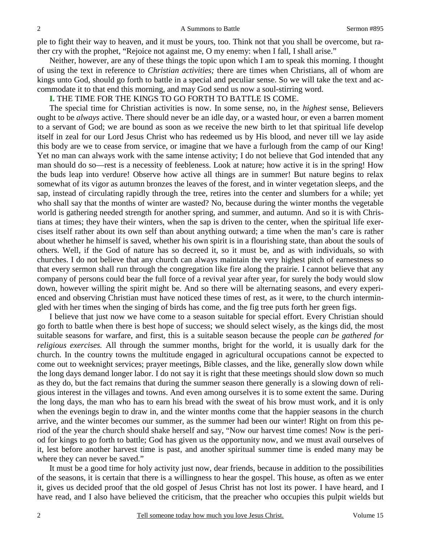ple to fight their way to heaven, and it must be yours, too. Think not that you shall be overcome, but rather cry with the prophet, "Rejoice not against me, O my enemy: when I fall, I shall arise."

 Neither, however, are any of these things the topic upon which I am to speak this morning. I thought of using the text in reference to *Christian activities;* there are times when Christians, all of whom are kings unto God, should go forth to battle in a special and peculiar sense. So we will take the text and accommodate it to that end this morning, and may God send us now a soul-stirring word.

### **I.** THE TIME FOR THE KINGS TO GO FORTH TO BATTLE IS COME.

 The special time for Christian activities is now. In some sense, no, in the *highest* sense, Believers ought to be *always* active. There should never be an idle day, or a wasted hour, or even a barren moment to a servant of God; we are bound as soon as we receive the new birth to let that spiritual life develop itself in zeal for our Lord Jesus Christ who has redeemed us by His blood, and never till we lay aside this body are we to cease from service, or imagine that we have a furlough from the camp of our King! Yet no man can always work with the same intense activity; I do not believe that God intended that any man should do so—rest is a necessity of feebleness. Look at nature; how active it is in the spring! How the buds leap into verdure! Observe how active all things are in summer! But nature begins to relax somewhat of its vigor as autumn bronzes the leaves of the forest, and in winter vegetation sleeps, and the sap, instead of circulating rapidly through the tree, retires into the center and slumbers for a while; yet who shall say that the months of winter are wasted? No, because during the winter months the vegetable world is gathering needed strength for another spring, and summer, and autumn. And so it is with Christians at times; they have their winters, when the sap is driven to the center, when the spiritual life exercises itself rather about its own self than about anything outward; a time when the man's care is rather about whether he himself is saved, whether his own spirit is in a flourishing state, than about the souls of others. Well, if the God of nature has so decreed it, so it must be, and as with individuals, so with churches. I do not believe that any church can always maintain the very highest pitch of earnestness so that every sermon shall run through the congregation like fire along the prairie. I cannot believe that any company of persons could bear the full force of a revival year after year, for surely the body would slow down, however willing the spirit might be. And so there will be alternating seasons, and every experienced and observing Christian must have noticed these times of rest, as it were, to the church intermingled with her times when the singing of birds has come, and the fig tree puts forth her green figs.

 I believe that just now we have come to a season suitable for special effort. Every Christian should go forth to battle when there is best hope of success; we should select wisely, as the kings did, the most suitable seasons for warfare, and first, this is a suitable season because the people *can be gathered for religious exercises.* All through the summer months, bright for the world, it is usually dark for the church. In the country towns the multitude engaged in agricultural occupations cannot be expected to come out to weeknight services; prayer meetings, Bible classes, and the like, generally slow down while the long days demand longer labor. I do not say it is right that these meetings should slow down so much as they do, but the fact remains that during the summer season there generally is a slowing down of religious interest in the villages and towns. And even among ourselves it is to some extent the same. During the long days, the man who has to earn his bread with the sweat of his brow must work, and it is only when the evenings begin to draw in, and the winter months come that the happier seasons in the church arrive, and the winter becomes our summer, as the summer had been our winter! Right on from this period of the year the church should shake herself and say, "Now our harvest time comes! Now is the period for kings to go forth to battle; God has given us the opportunity now, and we must avail ourselves of it, lest before another harvest time is past, and another spiritual summer time is ended many may be where they can never be saved."

 It must be a good time for holy activity just now, dear friends, because in addition to the possibilities of the seasons, it is certain that there is a willingness to hear the gospel. This house, as often as we enter it, gives us decided proof that the old gospel of Jesus Christ has not lost its power. I have heard, and I have read, and I also have believed the criticism, that the preacher who occupies this pulpit wields but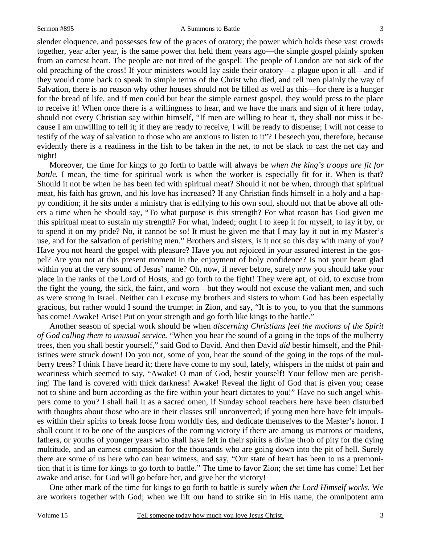### Sermon #895 A Summons to Battle

slender eloquence, and possesses few of the graces of oratory; the power which holds these vast crowds together, year after year, is the same power that held them years ago—the simple gospel plainly spoken from an earnest heart. The people are not tired of the gospel! The people of London are not sick of the old preaching of the cross! If your ministers would lay aside their oratory—a plague upon it all—and if they would come back to speak in simple terms of the Christ who died, and tell men plainly the way of Salvation, there is no reason why other houses should not be filled as well as this—for there is a hunger for the bread of life, and if men could but hear the simple earnest gospel, they would press to the place to receive it! When once there is a willingness to hear, and we have the mark and sign of it here today, should not every Christian say within himself, "If men are willing to hear it, they shall not miss it because I am unwilling to tell it; if they are ready to receive, I will be ready to dispense; I will not cease to testify of the way of salvation to those who are anxious to listen to it"? I beseech you, therefore, because evidently there is a readiness in the fish to be taken in the net, to not be slack to cast the net day and night!

 Moreover, the time for kings to go forth to battle will always be *when the king's troops are fit for battle.* I mean, the time for spiritual work is when the worker is especially fit for it. When is that? Should it not be when he has been fed with spiritual meat? Should it not be when, through that spiritual meat, his faith has grown, and his love has increased? If any Christian finds himself in a holy and a happy condition; if he sits under a ministry that is edifying to his own soul, should not that be above all others a time when he should say, "To what purpose is this strength? For what reason has God given me this spiritual meat to sustain my strength? For what, indeed; ought I to keep it for myself, to lay it by, or to spend it on my pride? No, it cannot be so! It must be given me that I may lay it out in my Master's use, and for the salvation of perishing men." Brothers and sisters, is it not so this day with many of you? Have you not heard the gospel with pleasure? Have you not rejoiced in your assured interest in the gospel? Are you not at this present moment in the enjoyment of holy confidence? Is not your heart glad within you at the very sound of Jesus' name? Oh, now, if never before, surely now you should take your place in the ranks of the Lord of Hosts, and go forth to the fight! They were apt, of old, to excuse from the fight the young, the sick, the faint, and worn—but they would not excuse the valiant men, and such as were strong in Israel. Neither can I excuse my brothers and sisters to whom God has been especially gracious, but rather would I sound the trumpet in Zion, and say, "It is to you, to you that the summons has come! Awake! Arise! Put on your strength and go forth like kings to the battle."

 Another season of special work should be when *discerning Christians feel the motions of the Spirit of God calling them to unusual service.* "When you hear the sound of a going in the tops of the mulberry trees, then you shall bestir yourself," said God to David. And then David *did* bestir himself, and the Philistines were struck down! Do you not, some of you, hear the sound of the going in the tops of the mulberry trees? I think I have heard it; there have come to my soul, lately, whispers in the midst of pain and weariness which seemed to say, "Awake! O man of God, bestir yourself! Your fellow men are perishing! The land is covered with thick darkness! Awake! Reveal the light of God that is given you; cease not to shine and burn according as the fire within your heart dictates to you!" Have no such angel whispers come to you? I shall hail it as a sacred omen, if Sunday school teachers here have been disturbed with thoughts about those who are in their classes still unconverted; if young men here have felt impulses within their spirits to break loose from worldly ties, and dedicate themselves to the Master's honor. I shall count it to be one of the auspices of the coming victory if there are among us matrons or maidens, fathers, or youths of younger years who shall have felt in their spirits a divine throb of pity for the dying multitude, and an earnest compassion for the thousands who are going down into the pit of hell. Surely there are some of us here who can bear witness, and say, "Our state of heart has been to us a premonition that it is time for kings to go forth to battle." The time to favor Zion; the set time has come! Let her awake and arise, for God will go before her, and give her the victory!

 One other mark of the time for kings to go forth to battle is surely *when the Lord Himself works.* We are workers together with God; when we lift our hand to strike sin in His name, the omnipotent arm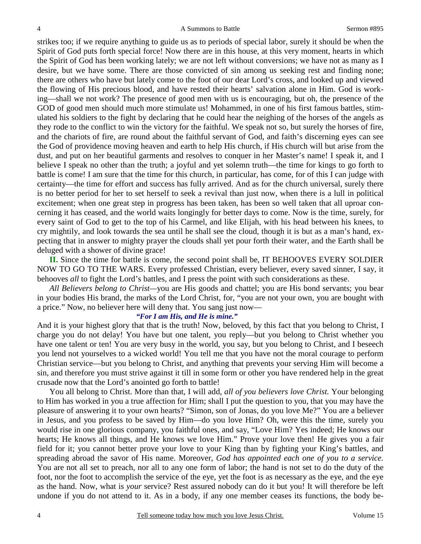strikes too; if we require anything to guide us as to periods of special labor, surely it should be when the Spirit of God puts forth special force! Now there are in this house, at this very moment, hearts in which the Spirit of God has been working lately; we are not left without conversions; we have not as many as I desire, but we have some. There are those convicted of sin among us seeking rest and finding none; there are others who have but lately come to the foot of our dear Lord's cross, and looked up and viewed the flowing of His precious blood, and have rested their hearts' salvation alone in Him. God is working—shall we not work? The presence of good men with us is encouraging, but oh, the presence of the GOD of good men should much more stimulate us! Mohammed, in one of his first famous battles, stimulated his soldiers to the fight by declaring that he could hear the neighing of the horses of the angels as they rode to the conflict to win the victory for the faithful. We speak not so, but surely the horses of fire, and the chariots of fire, are round about the faithful servant of God, and faith's discerning eyes can see the God of providence moving heaven and earth to help His church, if His church will but arise from the dust, and put on her beautiful garments and resolves to conquer in her Master's name! I speak it, and I believe I speak no other than the truth; a joyful and yet solemn truth—the time for kings to go forth to battle is come! I am sure that the time for this church, in particular, has come, for of this I can judge with certainty—the time for effort and success has fully arrived. And as for the church universal, surely there is no better period for her to set herself to seek a revival than just now, when there is a lull in political excitement; when one great step in progress has been taken, has been so well taken that all uproar concerning it has ceased, and the world waits longingly for better days to come. Now is the time, surely, for every saint of God to get to the top of his Carmel, and like Elijah, with his head between his knees, to cry mightily, and look towards the sea until he shall see the cloud, though it is but as a man's hand, expecting that in answer to mighty prayer the clouds shall yet pour forth their water, and the Earth shall be deluged with a shower of divine grace!

**II.** Since the time for battle is come, the second point shall be, IT BEHOOVES EVERY SOLDIER NOW TO GO TO THE WARS. Every professed Christian, every believer, every saved sinner, I say, it behooves *all* to fight the Lord's battles, and I press the point with such considerations as these.

*All Believers belong to Christ—*you are His goods and chattel; you are His bond servants; you bear in your bodies His brand, the marks of the Lord Christ, for, "you are not your own, you are bought with a price." Now, no believer here will deny that. You sang just now—

### *"For I am His, and He is mine."*

And it is your highest glory that that is the truth! Now, beloved, by this fact that you belong to Christ, I charge you do not delay! You have but one talent, you reply—but you belong to Christ whether you have one talent or ten! You are very busy in the world, you say, but you belong to Christ, and I beseech you lend not yourselves to a wicked world! You tell me that you have not the moral courage to perform Christian service—but you belong to Christ, and anything that prevents your serving Him will become a sin, and therefore you must strive against it till in some form or other you have rendered help in the great crusade now that the Lord's anointed go forth to battle!

 You all belong to Christ. More than that, I will add, *all of you believers love Christ.* Your belonging to Him has worked in you a true affection for Him; shall I put the question to you, that you may have the pleasure of answering it to your own hearts? "Simon, son of Jonas, do you love Me?" You are a believer in Jesus, and you profess to be saved by Him—do you love Him? Oh, were this the time, surely you would rise in one glorious company, you faithful ones, and say, "Love Him? Yes indeed; He knows our hearts; He knows all things, and He knows we love Him." Prove your love then! He gives you a fair field for it; you cannot better prove your love to your King than by fighting your King's battles, and spreading abroad the savor of His name. Moreover, *God has appointed each one of you to a service.*  You are not all set to preach, nor all to any one form of labor; the hand is not set to do the duty of the foot, nor the foot to accomplish the service of the eye, yet the foot is as necessary as the eye, and the eye as the hand. Now, what is *your* service? Rest assured nobody can do it but you! It will therefore be left undone if you do not attend to it. As in a body, if any one member ceases its functions, the body be-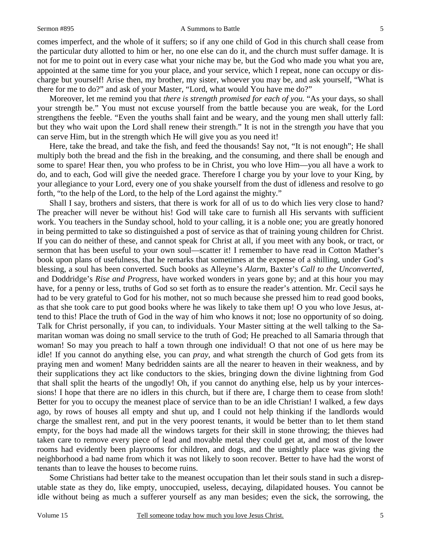#### Sermon #895 A Summons to Battle

comes imperfect, and the whole of it suffers; so if any one child of God in this church shall cease from the particular duty allotted to him or her, no one else can do it, and the church must suffer damage. It is not for me to point out in every case what your niche may be, but the God who made you what you are, appointed at the same time for you your place, and your service, which I repeat, none can occupy or discharge but yourself! Arise then, my brother, my sister, whoever you may be, and ask yourself, "What is there for me to do?" and ask of your Master, "Lord, what would You have me do?"

 Moreover, let me remind you that *there is strength promised for each of you.* "As your days, so shall your strength be." You must not excuse yourself from the battle because you are weak, for the Lord strengthens the feeble. "Even the youths shall faint and be weary, and the young men shall utterly fall: but they who wait upon the Lord shall renew their strength." It is not in the strength *you* have that you can serve Him, but in the strength which He will give you as you need it!

 Here, take the bread, and take the fish, and feed the thousands! Say not, "It is not enough"; He shall multiply both the bread and the fish in the breaking, and the consuming, and there shall be enough and some to spare! Hear then, you who profess to be in Christ, you who love Him—you all have a work to do, and to each, God will give the needed grace. Therefore I charge you by your love to your King, by your allegiance to your Lord, every one of you shake yourself from the dust of idleness and resolve to go forth, "to the help of the Lord, to the help of the Lord against the mighty."

 Shall I say, brothers and sisters, that there is work for all of us to do which lies very close to hand? The preacher will never be without his! God will take care to furnish all His servants with sufficient work. You teachers in the Sunday school, hold to your calling, it is a noble one; you are greatly honored in being permitted to take so distinguished a post of service as that of training young children for Christ. If you can do neither of these, and cannot speak for Christ at all, if you meet with any book, or tract, or sermon that has been useful to your own soul—scatter it! I remember to have read in Cotton Mather's book upon plans of usefulness, that he remarks that sometimes at the expense of a shilling, under God's blessing, a soul has been converted. Such books as Alleyne's *Alarm,* Baxter's *Call to the Unconverted,* and Doddridge's *Rise and Progress,* have worked wonders in years gone by; and at this hour you may have, for a penny or less, truths of God so set forth as to ensure the reader's attention. Mr. Cecil says he had to be very grateful to God for his mother, not so much because she pressed him to read good books, as that she took care to put good books where he was likely to take them up! O you who love Jesus, attend to this! Place the truth of God in the way of him who knows it not; lose no opportunity of so doing. Talk for Christ personally, if you can, to individuals. Your Master sitting at the well talking to the Samaritan woman was doing no small service to the truth of God; He preached to all Samaria through that woman! So may you preach to half a town through one individual! O that not one of us here may be idle! If you cannot do anything else, you can *pray,* and what strength the church of God gets from its praying men and women! Many bedridden saints are all the nearer to heaven in their weakness, and by their supplications they act like conductors to the skies, bringing down the divine lightning from God that shall split the hearts of the ungodly! Oh, if you cannot do anything else, help us by your intercessions! I hope that there are no idlers in this church, but if there are, I charge them to cease from sloth! Better for you to occupy the meanest place of service than to be an idle Christian! I walked, a few days ago, by rows of houses all empty and shut up, and I could not help thinking if the landlords would charge the smallest rent, and put in the very poorest tenants, it would be better than to let them stand empty, for the boys had made all the windows targets for their skill in stone throwing; the thieves had taken care to remove every piece of lead and movable metal they could get at, and most of the lower rooms had evidently been playrooms for children, and dogs, and the unsightly place was giving the neighborhood a bad name from which it was not likely to soon recover. Better to have had the worst of tenants than to leave the houses to become ruins.

 Some Christians had better take to the meanest occupation than let their souls stand in such a disreputable state as they do, like empty, unoccupied, useless, decaying, dilapidated houses. You cannot be idle without being as much a sufferer yourself as any man besides; even the sick, the sorrowing, the

5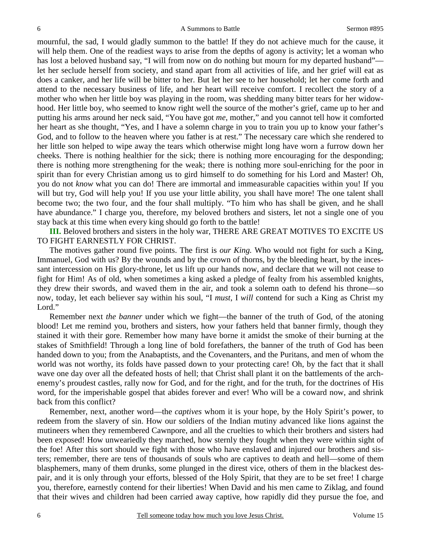mournful, the sad, I would gladly summon to the battle! If they do not achieve much for the cause, it will help them. One of the readiest ways to arise from the depths of agony is activity; let a woman who has lost a beloved husband say, "I will from now on do nothing but mourn for my departed husband" let her seclude herself from society, and stand apart from all activities of life, and her grief will eat as does a canker, and her life will be bitter to her. But let her see to her household; let her come forth and attend to the necessary business of life, and her heart will receive comfort. I recollect the story of a mother who when her little boy was playing in the room, was shedding many bitter tears for her widowhood. Her little boy, who seemed to know right well the source of the mother's grief, came up to her and putting his arms around her neck said, "You have got *me*, mother," and you cannot tell how it comforted her heart as she thought, "Yes, and I have a solemn charge in you to train you up to know your father's God, and to follow to the heaven where you father is at rest." The necessary care which she rendered to her little son helped to wipe away the tears which otherwise might long have worn a furrow down her cheeks. There is nothing healthier for the sick; there is nothing more encouraging for the desponding; there is nothing more strengthening for the weak; there is nothing more soul-enriching for the poor in spirit than for every Christian among us to gird himself to do something for his Lord and Master! Oh, you do not *know* what you can do! There are immortal and immeasurable capacities within you! If you will but try, God will help you! If you use your little ability, you shall have more! The one talent shall become two; the two four, and the four shall multiply. "To him who has shall be given, and he shall have abundance." I charge you, therefore, my beloved brothers and sisters, let not a single one of you stay back at this time when every king should go forth to the battle!

**III.** Beloved brothers and sisters in the holy war, THERE ARE GREAT MOTIVES TO EXCITE US TO FIGHT EARNESTLY FOR CHRIST.

 The motives gather round five points. The first is *our King.* Who would not fight for such a King, Immanuel, God with us? By the wounds and by the crown of thorns, by the bleeding heart, by the incessant intercession on His glory-throne, let us lift up our hands now, and declare that we will not cease to fight for Him! As of old, when sometimes a king asked a pledge of fealty from his assembled knights, they drew their swords, and waved them in the air, and took a solemn oath to defend his throne—so now, today, let each believer say within his soul, "I *must*, I *will* contend for such a King as Christ my Lord."

 Remember next *the banner* under which we fight—the banner of the truth of God, of the atoning blood! Let me remind you, brothers and sisters, how your fathers held that banner firmly, though they stained it with their gore. Remember how many have borne it amidst the smoke of their burning at the stakes of Smithfield! Through a long line of bold forefathers, the banner of the truth of God has been handed down to you; from the Anabaptists, and the Covenanters, and the Puritans, and men of whom the world was not worthy, its folds have passed down to your protecting care! Oh, by the fact that it shall wave one day over all the defeated hosts of hell; that Christ shall plant it on the battlements of the archenemy's proudest castles, rally now for God, and for the right, and for the truth, for the doctrines of His word, for the imperishable gospel that abides forever and ever! Who will be a coward now, and shrink back from this conflict?

 Remember, next, another word—the *captives* whom it is your hope, by the Holy Spirit's power, to redeem from the slavery of sin. How our soldiers of the Indian mutiny advanced like lions against the mutineers when they remembered Cawnpore, and all the cruelties to which their brothers and sisters had been exposed! How unweariedly they marched, how sternly they fought when they were within sight of the foe! After this sort should we fight with those who have enslaved and injured our brothers and sisters; remember, there are tens of thousands of souls who are captives to death and hell—some of them blasphemers, many of them drunks, some plunged in the direst vice, others of them in the blackest despair, and it is only through your efforts, blessed of the Holy Spirit, that they are to be set free! I charge you, therefore, earnestly contend for their liberties! When David and his men came to Ziklag, and found that their wives and children had been carried away captive, how rapidly did they pursue the foe, and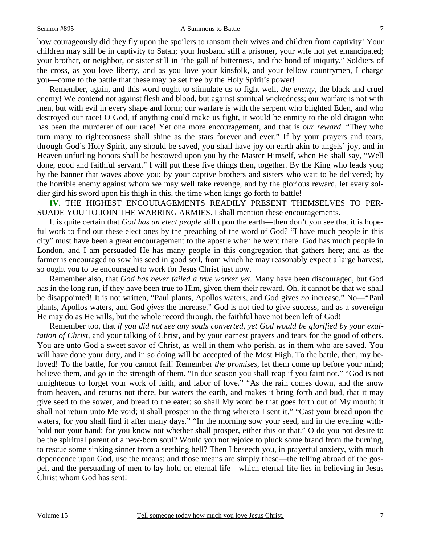#### Sermon #895 A Summons to Battle

how courageously did they fly upon the spoilers to ransom their wives and children from captivity! Your children may still be in captivity to Satan; your husband still a prisoner, your wife not yet emancipated; your brother, or neighbor, or sister still in "the gall of bitterness, and the bond of iniquity." Soldiers of the cross, as you love liberty, and as you love your kinsfolk, and your fellow countrymen, I charge you—come to the battle that these may be set free by the Holy Spirit's power!

 Remember, again, and this word ought to stimulate us to fight well, *the enemy,* the black and cruel enemy! We contend not against flesh and blood, but against spiritual wickedness; our warfare is not with men, but with evil in every shape and form; our warfare is with the serpent who blighted Eden, and who destroyed our race! O God, if anything could make us fight, it would be enmity to the old dragon who has been the murderer of our race! Yet one more encouragement, and that is *our reward.* "They who turn many to righteousness shall shine as the stars forever and ever." If by your prayers and tears, through God's Holy Spirit, any should be saved, you shall have joy on earth akin to angels' joy, and in Heaven unfurling honors shall be bestowed upon you by the Master Himself, when He shall say, "Well done, good and faithful servant." I will put these five things then, together. By the King who leads you; by the banner that waves above you; by your captive brothers and sisters who wait to be delivered; by the horrible enemy against whom we may well take revenge, and by the glorious reward, let every soldier gird his sword upon his thigh in this, the time when kings go forth to battle!

**IV.** THE HIGHEST ENCOURAGEMENTS READILY PRESENT THEMSELVES TO PER-SUADE YOU TO JOIN THE WARRING ARMIES. I shall mention these encouragements.

 It is quite certain that *God has an elect people* still upon the earth—then don't you see that it is hopeful work to find out these elect ones by the preaching of the word of God? "I have much people in this city" must have been a great encouragement to the apostle when he went there. God has much people in London, and I am persuaded He has many people in this congregation that gathers here; and as the farmer is encouraged to sow his seed in good soil, from which he may reasonably expect a large harvest, so ought you to be encouraged to work for Jesus Christ just now.

 Remember also, that *God has never failed a true worker yet.* Many have been discouraged, but God has in the long run, if they have been true to Him, given them their reward. Oh, it cannot be that we shall be disappointed! It is not written, "Paul plants, Apollos waters, and God gives *no* increase." No—"Paul plants, Apollos waters, and God *gives* the increase." God is not tied to give success, and as a sovereign He may do as He wills, but the whole record through, the faithful have not been left of God!

Remember too, that *if you did not see any souls converted, yet God would be glorified by your exaltation of Christ,* and your talking of Christ, and by your earnest prayers and tears for the good of others. You are unto God a sweet savor of Christ, as well in them who perish, as in them who are saved. You will have done your duty, and in so doing will be accepted of the Most High. To the battle, then, my beloved! To the battle, for you cannot fail! Remember *the promises,* let them come up before your mind; believe them, and go in the strength of them. "In due season you shall reap if you faint not." "God is not unrighteous to forget your work of faith, and labor of love." "As the rain comes down, and the snow from heaven, and returns not there, but waters the earth, and makes it bring forth and bud, that it may give seed to the sower, and bread to the eater: so shall My word be that goes forth out of My mouth: it shall not return unto Me void; it shall prosper in the thing whereto I sent it." "Cast your bread upon the waters, for you shall find it after many days." "In the morning sow your seed, and in the evening withhold not your hand: for you know not whether shall prosper, either this or that." O do you not desire to be the spiritual parent of a new-born soul? Would you not rejoice to pluck some brand from the burning, to rescue some sinking sinner from a seething hell? Then I beseech you, in prayerful anxiety, with much dependence upon God, use the means; and those means are simply these—the telling abroad of the gospel, and the persuading of men to lay hold on eternal life—which eternal life lies in believing in Jesus Christ whom God has sent!